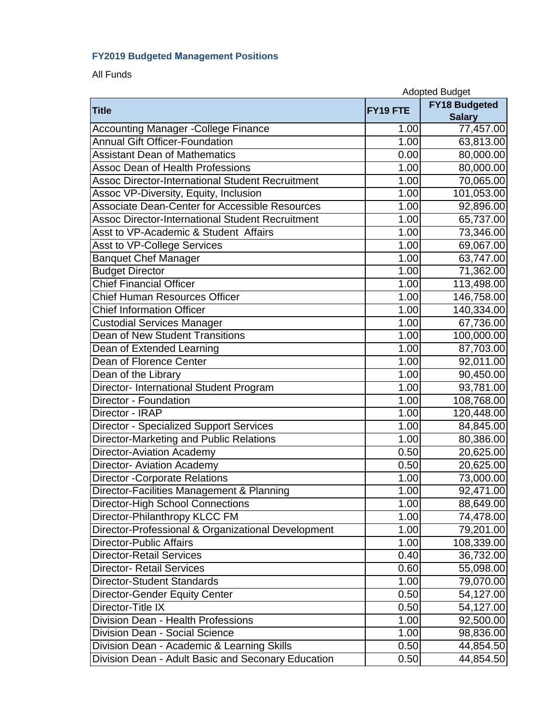## **FY2019 Budgeted Management Positions**

All Funds

|                                                         |                    | <b>Adopted Budget</b> |  |
|---------------------------------------------------------|--------------------|-----------------------|--|
| <b>Title</b>                                            | FY19 FTE           | <b>FY18 Budgeted</b>  |  |
|                                                         |                    | <b>Salary</b>         |  |
| <b>Accounting Manager -College Finance</b>              | 1.00               | 77,457.00             |  |
| <b>Annual Gift Officer-Foundation</b>                   | 1.00               | 63,813.00             |  |
| <b>Assistant Dean of Mathematics</b>                    | 0.00               | 80,000.00             |  |
| <b>Assoc Dean of Health Professions</b>                 | 1.00               | 80,000.00             |  |
| <b>Assoc Director-International Student Recruitment</b> | 1.00               | 70,065.00             |  |
| Assoc VP-Diversity, Equity, Inclusion                   | 1.00               | 101,053.00            |  |
| <b>Associate Dean-Center for Accessible Resources</b>   | 1.00               | 92,896.00             |  |
| <b>Assoc Director-International Student Recruitment</b> | 1.00               | 65,737.00             |  |
| Asst to VP-Academic & Student Affairs                   | 1.00               | 73,346.00             |  |
| Asst to VP-College Services                             | 1.00               | 69,067.00             |  |
| Banquet Chef Manager                                    | 1.00               | 63,747.00             |  |
| <b>Budget Director</b>                                  | 1.00               | 71,362.00             |  |
| <b>Chief Financial Officer</b>                          | 1.00               | 113,498.00            |  |
| <b>Chief Human Resources Officer</b>                    | 1.00               | 146,758.00            |  |
| <b>Chief Information Officer</b>                        | 1.00               | 140,334.00            |  |
| <b>Custodial Services Manager</b>                       | 1.00               | 67,736.00             |  |
| <b>Dean of New Student Transitions</b>                  | 1.00               | 100,000.00            |  |
| Dean of Extended Learning                               | 1.00               | 87,703.00             |  |
| Dean of Florence Center                                 | 1.00               | 92,011.00             |  |
| Dean of the Library                                     | 1.00               | 90,450.00             |  |
| Director- International Student Program                 | 1.00               | 93,781.00             |  |
| Director - Foundation                                   | 1.00               | 108,768.00            |  |
| Director - IRAP                                         | 1.00               | 120,448.00            |  |
| <b>Director - Specialized Support Services</b>          | 1.00               | 84,845.00             |  |
| Director-Marketing and Public Relations                 | $\overline{1}$ .00 | 80,386.00             |  |
| <b>Director-Aviation Academy</b>                        | 0.50               | 20,625.00             |  |
| <b>Director- Aviation Academy</b>                       | 0.50               | 20,625.00             |  |
| <b>Director -Corporate Relations</b>                    | 1.00               | 73,000.00             |  |
| Director-Facilities Management & Planning               | 1.00               | 92,471.00             |  |
| <b>Director-High School Connections</b>                 | 1.00               | 88,649.00             |  |
| Director-Philanthropy KLCC FM                           | 1.00               | 74,478.00             |  |
| Director-Professional & Organizational Development      | 1.00               | 79,201.00             |  |
| <b>Director-Public Affairs</b>                          | 1.00               | 108,339.00            |  |
| <b>Director-Retail Services</b>                         | 0.40               | 36,732.00             |  |
| <b>Director- Retail Services</b>                        | 0.60               | 55,098.00             |  |
| Director-Student Standards                              | 1.00               | 79,070.00             |  |
| Director-Gender Equity Center                           | 0.50               | 54,127.00             |  |
| Director-Title IX                                       | 0.50               | 54,127.00             |  |
| <b>Division Dean - Health Professions</b>               | 1.00               | 92,500.00             |  |
| Division Dean - Social Science                          | 1.00               | 98,836.00             |  |
| Division Dean - Academic & Learning Skills              | 0.50               | 44,854.50             |  |
| Division Dean - Adult Basic and Seconary Education      | 0.50               | 44,854.50             |  |